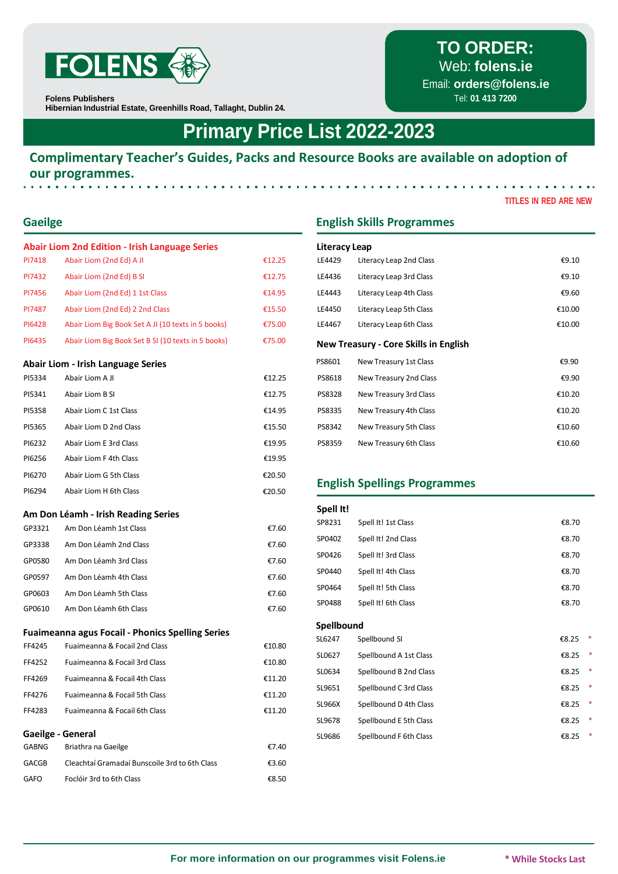

**Folens Publishers**

**Hibernian Industrial Estate, Greenhills Road, Tallaght, Dublin 24.**

## **Primary Price List 2022-2023**

#### **Complimentary Teacher's Guides, Packs and Resource Books are available on adoption of our programmes.**

|                  | <b>Abair Liom 2nd Edition - Irish Language Series</b>                                    |                  | <b>Literacy Leap</b> |                                              |        |
|------------------|------------------------------------------------------------------------------------------|------------------|----------------------|----------------------------------------------|--------|
| PI7418           | Abair Liom (2nd Ed) A JI                                                                 | €12.25           | LE4429               | Literacy Leap 2nd Class                      | €9.10  |
| PI7432           | Abair Liom (2nd Ed) B SI                                                                 | €12.75           | LE4436               | Literacy Leap 3rd Class                      | €9.10  |
| PI7456           | Abair Liom (2nd Ed) 1 1st Class                                                          | €14.95           | LE4443               | Literacy Leap 4th Class                      | €9.60  |
| PI7487           | Abair Liom (2nd Ed) 2 2nd Class                                                          | €15.50           | LE4450               | Literacy Leap 5th Class                      | €10.00 |
| PI6428           | Abair Liom Big Book Set A JI (10 texts in 5 books)                                       | €75.00           | LE4467               | Literacy Leap 6th Class                      | €10.00 |
| PI6435           | Abair Liom Big Book Set B SI (10 texts in 5 books)                                       | €75.00           |                      | <b>New Treasury - Core Skills in English</b> |        |
|                  | <b>Abair Liom - Irish Language Series</b>                                                |                  | PS8601               | New Treasury 1st Class                       | €9.90  |
| PI5334           | Abair Liom A JI                                                                          | €12.25           | PS8618               | New Treasury 2nd Class                       | €9.90  |
| PI5341           | Abair Liom B SI                                                                          | €12.75           | PS8328               | New Treasury 3rd Class                       | €10.20 |
| PI5358           | Abair Liom C 1st Class                                                                   | €14.95           | PS8335               | New Treasury 4th Class                       | €10.20 |
| PI5365           | Abair Liom D 2nd Class                                                                   | €15.50           | PS8342               | New Treasury 5th Class                       | €10.60 |
| PI6232           | Abair Liom E 3rd Class                                                                   | €19.95           | PS8359               | New Treasury 6th Class                       | €10.60 |
| PI6256           | Abair Liom F 4th Class                                                                   | €19.95           |                      |                                              |        |
| PI6270           | Abair Liom G 5th Class                                                                   | €20.50           |                      |                                              |        |
| PI6294           | Abair Liom H 6th Class                                                                   | €20.50           |                      | <b>English Spellings Programmes</b>          |        |
|                  | Am Don Léamh - Irish Reading Series                                                      |                  | Spell It!            |                                              |        |
| GP3321           | Am Don Léamh 1st Class                                                                   | €7.60            | SP8231               | Spell It! 1st Class                          | €8.70  |
|                  |                                                                                          |                  |                      |                                              |        |
| GP3338           | Am Don Léamh 2nd Class                                                                   | €7.60            | SP0402               | Spell It! 2nd Class                          | €8.70  |
| GP0580           | Am Don Léamh 3rd Class                                                                   | €7.60            | SP0426               | Spell It! 3rd Class                          | €8.70  |
| GP0597           | Am Don Léamh 4th Class                                                                   | €7.60            | SP0440               | Spell It! 4th Class                          | €8.70  |
| GP0603           | Am Don Léamh 5th Class                                                                   | €7.60            | SP0464               | Spell It! 5th Class                          | €8.70  |
| GP0610           | Am Don Léamh 6th Class                                                                   | €7.60            | SP0488               | Spell It! 6th Class                          | €8.70  |
|                  |                                                                                          |                  | Spellbound           |                                              |        |
|                  | <b>Fuaimeanna agus Focail - Phonics Spelling Series</b><br>Fuaimeanna & Focail 2nd Class |                  | SL6247               | Spellbound SI                                | €8.25  |
| FF4245           |                                                                                          | €10.80           | SL0627               | Spellbound A 1st Class                       | €8.25  |
| FF4252<br>FF4269 | Fuaimeanna & Focail 3rd Class<br>Fuaimeanna & Focail 4th Class                           | €10.80<br>€11.20 | SL0634               | Spellbound B 2nd Class                       | €8.25  |
|                  | Fuaimeanna & Focail 5th Class                                                            |                  | SL9651               | Spellbound C 3rd Class                       | €8.25  |
| FF4276<br>FF4283 | Fuaimeanna & Focail 6th Class                                                            | €11.20<br>€11.20 | <b>SL966X</b>        | Spellbound D 4th Class                       | €8.25  |

#### **Gaeilge - General**

| GABNG       | Briathra na Gaeilge                           | €7.40 |
|-------------|-----------------------------------------------|-------|
| GACGB       | Cleachtaí Gramadaí Bunscoile 3rd to 6th Class | €3.60 |
| <b>GAFO</b> | Foclóir 3rd to 6th Class                      | €8.50 |

### **Gaeilge English Skills Programmes**

| Literacy Leap |                                              |          |  |  |  |  |
|---------------|----------------------------------------------|----------|--|--|--|--|
| LE4429        | Literacy Leap 2nd Class                      | €9.10    |  |  |  |  |
| LE4436        | Literacy Leap 3rd Class                      | € $9.10$ |  |  |  |  |
| LE4443        | Literacy Leap 4th Class                      | €9.60    |  |  |  |  |
| LE4450        | Literacy Leap 5th Class                      | €10.00   |  |  |  |  |
| LE4467        | Literacy Leap 6th Class                      | €10.00   |  |  |  |  |
|               | <b>New Treasury - Core Skills in English</b> |          |  |  |  |  |
| PS8601        | New Treasury 1st Class                       | €9.90    |  |  |  |  |
| PS8618        | New Treasury 2nd Class                       | €9.90    |  |  |  |  |
| PS8328        | New Treasury 3rd Class                       | €10.20   |  |  |  |  |
| PS8335        | New Treasury 4th Class                       | €10.20   |  |  |  |  |
| PS8342        | New Treasury 5th Class                       | €10.60   |  |  |  |  |
| PS8359        | New Treasury 6th Class                       | €10.60   |  |  |  |  |

### **English Spellings Programmes**

| Spell It!     |                        |       |        |
|---------------|------------------------|-------|--------|
| SP8231        | Spell It! 1st Class    | €8.70 |        |
| SP0402        | Spell It! 2nd Class    | €8.70 |        |
| SP0426        | Spell It! 3rd Class    | €8.70 |        |
| SP0440        | Spell It! 4th Class    | €8.70 |        |
| SP0464        | Spell It! 5th Class    | €8.70 |        |
| SP0488        | Spell It! 6th Class    | €8.70 |        |
| Spellbound    |                        |       |        |
| SL6247        | Spellbound SI          | €8.25 | *      |
| SL0627        | Spellbound A 1st Class | €8.25 | *      |
| SL0634        | Spellbound B 2nd Class | €8.25 | *      |
| SL9651        | Spellbound C 3rd Class | €8.25 | *      |
| <b>SL966X</b> | Spellbound D 4th Class | €8.25 | *      |
| SL9678        | Spellbound E 5th Class | €8.25 | *      |
| SL9686        | Spellbound F 6th Class | €8.25 | $\ast$ |

# **TO ORDER:**

Web: **[folens.ie](http://folens.ie/)**

Email: **[orders@folens.ie](mailto:orders@folens.ie)** Tel: **01 413 7200**

**TITLES IN RED ARE NEW**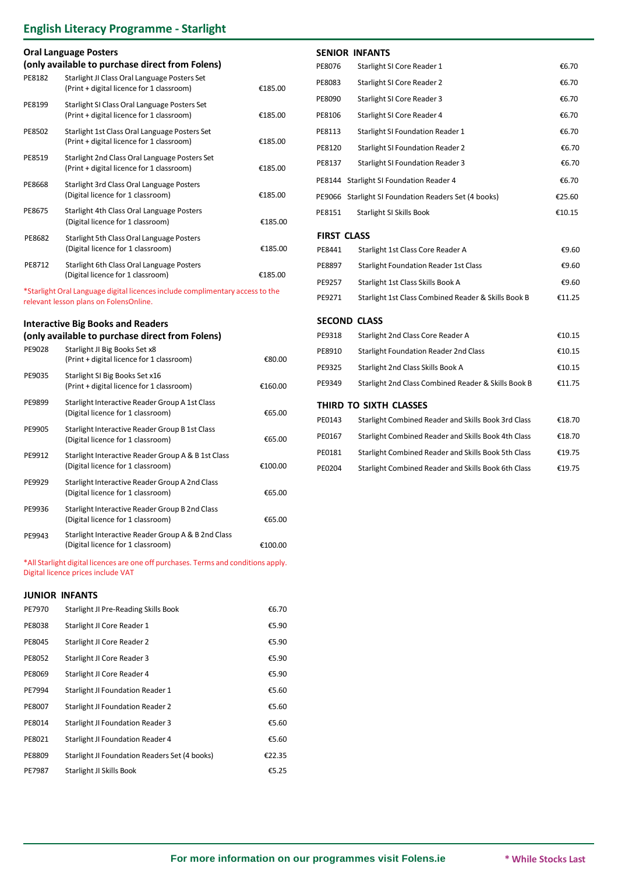## **English Literacy Programme - Starlight**

| <b>Oral Language Posters</b><br>(only available to purchase direct from Folens) |                                                                                                                              |         |  |  |  |  |
|---------------------------------------------------------------------------------|------------------------------------------------------------------------------------------------------------------------------|---------|--|--|--|--|
| PE8182                                                                          | Starlight JI Class Oral Language Posters Set<br>(Print + digital licence for 1 classroom)                                    | €185.00 |  |  |  |  |
| PE8199                                                                          | Starlight SI Class Oral Language Posters Set<br>(Print + digital licence for 1 classroom)                                    | €185.00 |  |  |  |  |
| PE8502                                                                          | Starlight 1st Class Oral Language Posters Set<br>(Print + digital licence for 1 classroom)                                   | €185.00 |  |  |  |  |
| PE8519                                                                          | Starlight 2nd Class Oral Language Posters Set<br>(Print + digital licence for 1 classroom)                                   | €185.00 |  |  |  |  |
| PE8668                                                                          | Starlight 3rd Class Oral Language Posters<br>(Digital licence for 1 classroom)                                               | €185.00 |  |  |  |  |
| PE8675                                                                          | Starlight 4th Class Oral Language Posters<br>(Digital licence for 1 classroom)                                               | €185.00 |  |  |  |  |
| PE8682                                                                          | Starlight 5th Class Oral Language Posters<br>(Digital licence for 1 classroom)                                               | €185.00 |  |  |  |  |
| PE8712                                                                          | Starlight 6th Class Oral Language Posters<br>(Digital licence for 1 classroom)                                               | €185.00 |  |  |  |  |
|                                                                                 | *Starlight Oral Language digital licences include complimentary access to the<br>relevant lesson plans on FolensOnline.      |         |  |  |  |  |
| PE9028                                                                          | <b>Interactive Big Books and Readers</b><br>(only available to purchase direct from Folens)<br>Starlight JI Big Books Set x8 |         |  |  |  |  |
|                                                                                 | (Print + digital licence for 1 classroom)                                                                                    | €80.00  |  |  |  |  |
| PE9035                                                                          | Starlight SI Big Books Set x16<br>(Print + digital licence for 1 classroom)                                                  | €160.00 |  |  |  |  |
| PE9899                                                                          | Starlight Interactive Reader Group A 1st Class<br>(Digital licence for 1 classroom)                                          | €65.00  |  |  |  |  |

| PE9905 | Starlight Interactive Reader Group B 1st Class<br>(Digital licence for 1 classroom)     | €65.00  |
|--------|-----------------------------------------------------------------------------------------|---------|
| PE9912 | Starlight Interactive Reader Group A & B 1st Class<br>(Digital licence for 1 classroom) | €100.00 |
| PE9929 | Starlight Interactive Reader Group A 2nd Class<br>(Digital licence for 1 classroom)     | €65.00  |
| PE9936 | Starlight Interactive Reader Group B 2nd Class<br>(Digital licence for 1 classroom)     | €65.00  |
| PE9943 | Starlight Interactive Reader Group A & B 2nd Class<br>(Digital licence for 1 classroom) | €100.00 |

\*All Starlight digital licences are one off purchases. Terms and conditions apply. Digital licence prices include VAT

#### **JUNIOR INFANTS**

| PE7970 | Starlight JI Pre-Reading Skills Book          | €6.70  |
|--------|-----------------------------------------------|--------|
| PE8038 | Starlight JI Core Reader 1                    | €5.90  |
| PE8045 | Starlight JI Core Reader 2                    | €5.90  |
| PE8052 | Starlight JI Core Reader 3                    | €5.90  |
| PE8069 | Starlight JI Core Reader 4                    | €5.90  |
| PE7994 | <b>Starlight JI Foundation Reader 1</b>       | €5.60  |
| PE8007 | <b>Starlight JI Foundation Reader 2</b>       | €5.60  |
| PE8014 | <b>Starlight JI Foundation Reader 3</b>       | €5.60  |
| PE8021 | Starlight JI Foundation Reader 4              | €5.60  |
| PE8809 | Starlight JI Foundation Readers Set (4 books) | €22.35 |
| PE7987 | Starlight JI Skills Book                      | €5.25  |

#### **SENIOR INFANTS**

|        | (only available to purchase direct from Folens)                                                                         |         | PE8076             | Starlight SI Core Reader 1                                                         | €6.70          |
|--------|-------------------------------------------------------------------------------------------------------------------------|---------|--------------------|------------------------------------------------------------------------------------|----------------|
| PE8182 | Starlight JI Class Oral Language Posters Set<br>(Print + digital licence for 1 classroom)                               | €185.00 | PE8083             | Starlight SI Core Reader 2                                                         | €6.70          |
| PE8199 | Starlight SI Class Oral Language Posters Set                                                                            |         | PE8090             | Starlight SI Core Reader 3                                                         | €6.70          |
|        | (Print + digital licence for 1 classroom)                                                                               | €185.00 | PE8106             | Starlight SI Core Reader 4                                                         | €6.70          |
| PE8502 | Starlight 1st Class Oral Language Posters Set<br>(Print + digital licence for 1 classroom)                              | €185.00 | PE8113             | Starlight SI Foundation Reader 1                                                   | €6.70          |
| PE8519 | Starlight 2nd Class Oral Language Posters Set<br>(Print + digital licence for 1 classroom)                              | €185.00 | PE8120<br>PE8137   | <b>Starlight SI Foundation Reader 2</b><br><b>Starlight SI Foundation Reader 3</b> | €6.70<br>€6.70 |
| PE8668 | Starlight 3rd Class Oral Language Posters                                                                               |         |                    | PE8144 Starlight SI Foundation Reader 4                                            | €6.70          |
|        | (Digital licence for 1 classroom)                                                                                       | €185.00 |                    | PE9066 Starlight SI Foundation Readers Set (4 books)                               | €25.60         |
| PE8675 | Starlight 4th Class Oral Language Posters<br>(Digital licence for 1 classroom)                                          | €185.00 | PE8151             | Starlight SI Skills Book                                                           | €10.15         |
| PE8682 | Starlight 5th Class Oral Language Posters                                                                               |         | <b>FIRST CLASS</b> |                                                                                    |                |
|        | (Digital licence for 1 classroom)                                                                                       | €185.00 | PE8441             | Starlight 1st Class Core Reader A                                                  | €9.60          |
| PE8712 | Starlight 6th Class Oral Language Posters<br>(Digital licence for 1 classroom)                                          | €185.00 | PE8897             | <b>Starlight Foundation Reader 1st Class</b>                                       | €9.60          |
|        |                                                                                                                         |         | PE9257             | Starlight 1st Class Skills Book A                                                  | €9.60          |
|        | *Starlight Oral Language digital licences include complimentary access to the<br>relevant lesson plans on FolensOnline. |         | PE9271             | Starlight 1st Class Combined Reader & Skills Book B                                | €11.25         |
|        | <b>Interactive Big Books and Readers</b>                                                                                |         |                    | <b>SECOND CLASS</b>                                                                |                |
|        | (only available to purchase direct from Folens)                                                                         |         | PE9318             | Starlight 2nd Class Core Reader A                                                  | €10.15         |
| PE9028 | Starlight JI Big Books Set x8<br>(Print + digital licence for 1 classroom)                                              | €80.00  | PE8910             | <b>Starlight Foundation Reader 2nd Class</b>                                       | €10.15         |
|        |                                                                                                                         |         | PE9325             | Starlight 2nd Class Skills Book A                                                  | €10.15         |
| PE9035 | Starlight SI Big Books Set x16<br>(Print + digital licence for 1 classroom)                                             | €160.00 | PE9349             | Starlight 2nd Class Combined Reader & Skills Book B                                | €11.75         |
| PE9899 | Starlight Interactive Reader Group A 1st Class<br>(Digital licence for 1 classroom)                                     | €65.00  |                    | THIRD TO SIXTH CLASSES                                                             |                |
|        |                                                                                                                         |         | PE0143             | Starlight Combined Reader and Skills Book 3rd Class                                | €18.70         |
| PE9905 | Starlight Interactive Reader Group B 1st Class<br>(Digital licence for 1 classroom)                                     | €65.00  | PE0167             | Starlight Combined Reader and Skills Book 4th Class                                | €18.70         |
| PE9912 | Starlight Interactive Reader Group A & B 1st Class                                                                      |         | PE0181             | Starlight Combined Reader and Skills Book 5th Class                                | €19.75         |
|        | (Digital licence for 1 classroom)                                                                                       | €100.00 | PE0204             | Starlight Combined Reader and Skills Book 6th Class                                | €19.75         |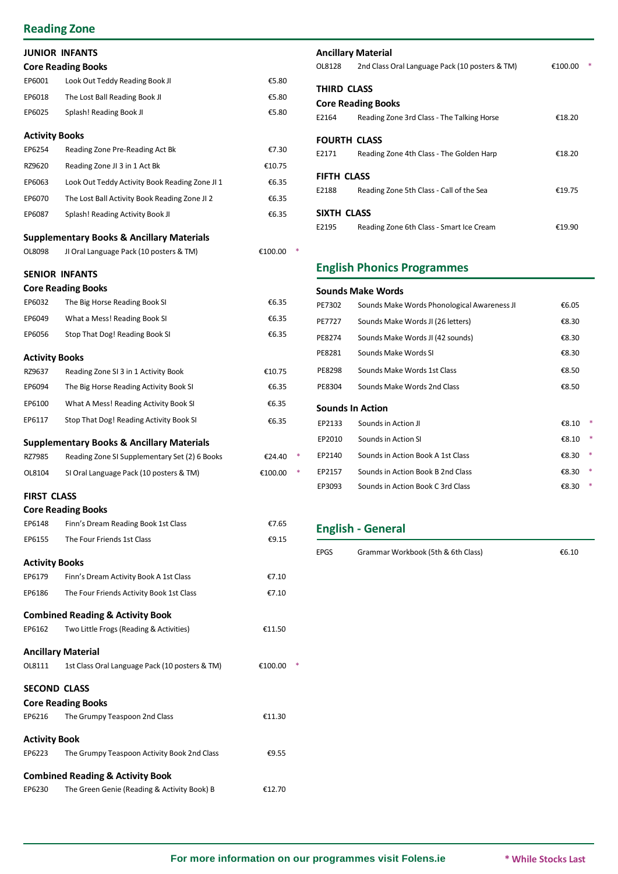### **Reading Zone**

|                       | <b>JUNIOR INFANTS</b>                                |         |  |
|-----------------------|------------------------------------------------------|---------|--|
|                       | <b>Core Reading Books</b>                            |         |  |
| EP6001                | Look Out Teddy Reading Book JI                       | €5.80   |  |
| EP6018                | The Lost Ball Reading Book JI                        | €5.80   |  |
| EP6025                | Splash! Reading Book JI                              | €5.80   |  |
| <b>Activity Books</b> |                                                      |         |  |
| EP6254                | Reading Zone Pre-Reading Act Bk                      | €7.30   |  |
| RZ9620                | Reading Zone JI 3 in 1 Act Bk                        | €10.75  |  |
| EP6063                | Look Out Teddy Activity Book Reading Zone JI 1       | €6.35   |  |
| EP6070                | The Lost Ball Activity Book Reading Zone JI 2        | €6.35   |  |
| EP6087                | Splash! Reading Activity Book JI                     | €6.35   |  |
|                       | <b>Supplementary Books &amp; Ancillary Materials</b> |         |  |
| OL8098                | JI Oral Language Pack (10 posters & TM)              | €100.00 |  |
|                       | <b>SENIOR INFANTS</b>                                |         |  |
|                       | <b>Core Reading Books</b>                            |         |  |
| EP6032                | The Big Horse Reading Book SI                        | €6.35   |  |
| EP6049                | What a Mess! Reading Book SI                         | €6.35   |  |
| EP6056                | Stop That Dog! Reading Book SI                       | €6.35   |  |

#### **Activity Books**

| RZ9637 | Reading Zone SI 3 in 1 Activity Book    | €10.75 | PE8298                  | Sounds Make Words 1st Class | €8.50 |
|--------|-----------------------------------------|--------|-------------------------|-----------------------------|-------|
| EP6094 | The Big Horse Reading Activity Book SI  | €6.35  | PE8304                  | Sounds Make Words 2nd Class | €8.50 |
| EP6100 | What A Mess! Reading Activity Book SI   | €6.35  | <b>Sounds In Action</b> |                             |       |
| EP6117 | Stop That Dog! Reading Activity Book SI | €6.35  | EP2133                  | Sounds in Action JI         | €8.10 |

#### **Supplementary Books & Ancillary Materials**

| RZ7985 | Reading Zone SI Supplementary Set (2) 6 Books | €24.40  |
|--------|-----------------------------------------------|---------|
| OL8104 | SI Oral Language Pack (10 posters & TM)       | €100.00 |

#### **FIRST CLASS**

|                       | <b>Core Reading Books</b>                      |         |  |
|-----------------------|------------------------------------------------|---------|--|
| EP6148                | Finn's Dream Reading Book 1st Class            | €7.65   |  |
| EP6155                | The Four Friends 1st Class                     | €9.15   |  |
| <b>Activity Books</b> |                                                |         |  |
| EP6179                | Finn's Dream Activity Book A 1st Class         | €7.10   |  |
| EP6186                | The Four Friends Activity Book 1st Class       | €7.10   |  |
|                       | <b>Combined Reading &amp; Activity Book</b>    |         |  |
| EP6162                | Two Little Frogs (Reading & Activities)        | €11.50  |  |
|                       | <b>Ancillary Material</b>                      |         |  |
| OL8111                | 1st Class Oral Language Pack (10 posters & TM) | €100.00 |  |
| <b>SECOND CLASS</b>   |                                                |         |  |
|                       | <b>Core Reading Books</b>                      |         |  |
| EP6216                | The Grumpy Teaspoon 2nd Class                  | €11.30  |  |
| <b>Activity Book</b>  |                                                |         |  |
| EP6223                | The Grumpy Teaspoon Activity Book 2nd Class    | €9.55   |  |
|                       | <b>Combined Reading &amp; Activity Book</b>    |         |  |
| EP6230                | The Green Genie (Reading & Activity Book) B    | €12.70  |  |

#### **Ancillary Material**

| OL8128              | 2nd Class Oral Language Pack (10 posters & TM) | €100.00 |  |
|---------------------|------------------------------------------------|---------|--|
| THIRD CLASS         |                                                |         |  |
|                     | <b>Core Reading Books</b>                      |         |  |
| E2164               | Reading Zone 3rd Class - The Talking Horse     | €18.20  |  |
| <b>FOURTH CLASS</b> |                                                |         |  |
| E2171               | Reading Zone 4th Class - The Golden Harp       | €18.20  |  |
| FIFTH CLASS         |                                                |         |  |
| E2188               | Reading Zone 5th Class - Call of the Sea       | €19.75  |  |
| SIXTH CLASS         |                                                |         |  |
| E2195               | Reading Zone 6th Class - Smart Ice Cream       | €19.90  |  |

### **English Phonics Programmes**

| <b>Core Reading Books</b> |                                               |         | <b>Sounds Make Words</b> |                                             |                 |
|---------------------------|-----------------------------------------------|---------|--------------------------|---------------------------------------------|-----------------|
| EP6032                    | The Big Horse Reading Book SI                 | €6.35   | PE7302                   | Sounds Make Words Phonological Awareness JI | €6.05           |
| EP6049                    | What a Mess! Reading Book SI                  | €6.35   | PE7727                   | Sounds Make Words JI (26 letters)           | €8.30           |
| EP6056                    | Stop That Dog! Reading Book SI                | €6.35   | PE8274                   | Sounds Make Words JI (42 sounds)            | €8.30           |
| Activity Books            |                                               |         | PE8281                   | Sounds Make Words SI                        | €8.30           |
| RZ9637                    | Reading Zone SI 3 in 1 Activity Book          | €10.75  | PE8298                   | Sounds Make Words 1st Class                 | €8.50           |
| EP6094                    | The Big Horse Reading Activity Book SI        | €6.35   | PE8304                   | Sounds Make Words 2nd Class                 | €8.50           |
| EP6100                    | What A Mess! Reading Activity Book SI         | €6.35   |                          | <b>Sounds In Action</b>                     |                 |
| EP6117                    | Stop That Dog! Reading Activity Book SI       | €6.35   | EP2133                   | Sounds in Action JI                         | €8.10 $*$       |
|                           | Supplementary Books & Ancillary Materials     |         | EP2010                   | Sounds in Action SI                         | €8.10 $*$       |
| RZ7985                    | Reading Zone SI Supplementary Set (2) 6 Books | €24.40  | EP2140                   | Sounds in Action Book A 1st Class           | €8.30 $*$       |
| OL8104                    | SI Oral Language Pack (10 posters & TM)       | €100.00 | EP2157                   | Sounds in Action Book B 2nd Class           | €8.30 *         |
|                           |                                               |         | EP3093                   | Sounds in Action Book C 3rd Class           | €8.30<br>$\ast$ |

### **English - General**

EPGS Grammar Workbook (5th & 6th Class) €6.10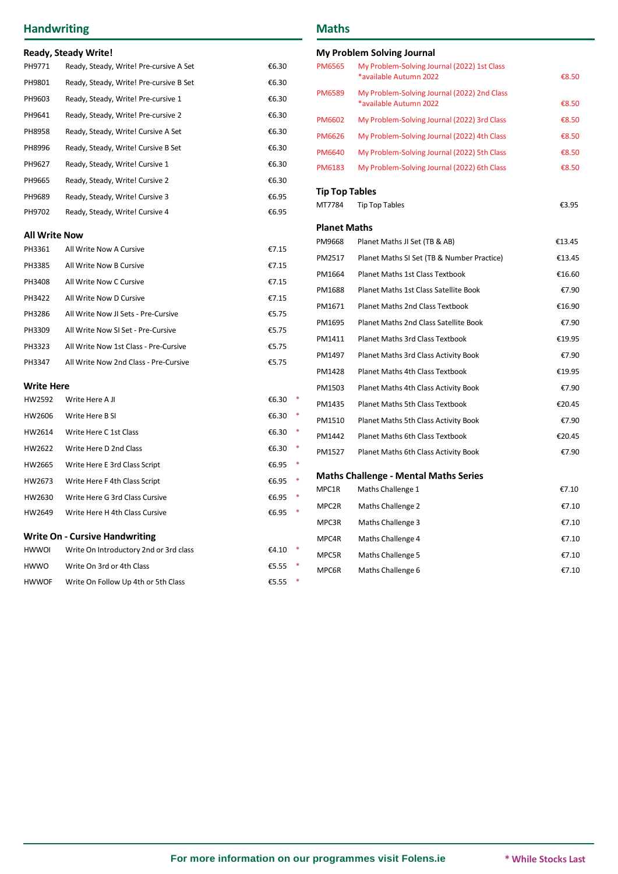## **Handwriting**

|                      | Ready, Steady Write!                    |                        |                       | <b>My Problem Solving Journal</b>                                     |        |
|----------------------|-----------------------------------------|------------------------|-----------------------|-----------------------------------------------------------------------|--------|
| PH9771               | Ready, Steady, Write! Pre-cursive A Set | €6.30                  | <b>PM6565</b>         | My Problem-Solving Journal (2022) 1st Class                           |        |
| PH9801               | Ready, Steady, Write! Pre-cursive B Set | €6.30                  |                       | *available Autumn 2022                                                | €8.50  |
| PH9603               | Ready, Steady, Write! Pre-cursive 1     | €6.30                  | <b>PM6589</b>         | My Problem-Solving Journal (2022) 2nd Class<br>*available Autumn 2022 | €8.50  |
| PH9641               | Ready, Steady, Write! Pre-cursive 2     | €6.30                  | PM6602                | My Problem-Solving Journal (2022) 3rd Class                           | €8.50  |
| PH8958               | Ready, Steady, Write! Cursive A Set     | €6.30                  | <b>PM6626</b>         | My Problem-Solving Journal (2022) 4th Class                           | €8.50  |
| PH8996               | Ready, Steady, Write! Cursive B Set     | €6.30                  | <b>PM6640</b>         | My Problem-Solving Journal (2022) 5th Class                           | €8.50  |
| PH9627               | Ready, Steady, Write! Cursive 1         | €6.30                  | <b>PM6183</b>         | My Problem-Solving Journal (2022) 6th Class                           | €8.50  |
| PH9665               | Ready, Steady, Write! Cursive 2         | €6.30                  |                       |                                                                       |        |
| PH9689               | Ready, Steady, Write! Cursive 3         | €6.95                  | <b>Tip Top Tables</b> |                                                                       |        |
| PH9702               | Ready, Steady, Write! Cursive 4         | €6.95                  | MT7784                | <b>Tip Top Tables</b>                                                 | €3.95  |
| <b>All Write Now</b> |                                         |                        | <b>Planet Maths</b>   |                                                                       |        |
| PH3361               | All Write Now A Cursive                 | €7.15                  | PM9668                | Planet Maths JI Set (TB & AB)                                         | €13.45 |
| PH3385               | All Write Now B Cursive                 | €7.15                  | PM2517                | Planet Maths SI Set (TB & Number Practice)                            | €13.45 |
| PH3408               | All Write Now C Cursive                 | €7.15                  | PM1664                | Planet Maths 1st Class Textbook                                       | €16.60 |
| PH3422               | All Write Now D Cursive                 | €7.15                  | PM1688                | Planet Maths 1st Class Satellite Book                                 | €7.90  |
| PH3286               | All Write Now JI Sets - Pre-Cursive     | €5.75                  | PM1671                | Planet Maths 2nd Class Textbook                                       | €16.90 |
|                      |                                         | €5.75                  | PM1695                | Planet Maths 2nd Class Satellite Book                                 | €7.90  |
| PH3309               | All Write Now SI Set - Pre-Cursive      |                        | PM1411                | Planet Maths 3rd Class Textbook                                       | €19.95 |
| PH3323               | All Write Now 1st Class - Pre-Cursive   | €5.75                  | PM1497                | Planet Maths 3rd Class Activity Book                                  | €7.90  |
| PH3347               | All Write Now 2nd Class - Pre-Cursive   | €5.75                  | PM1428                | Planet Maths 4th Class Textbook                                       | €19.95 |
| <b>Write Here</b>    |                                         |                        | PM1503                | Planet Maths 4th Class Activity Book                                  | €7.90  |
| HW2592               | Write Here A JI                         | €6.30<br>$\ast$        | PM1435                | Planet Maths 5th Class Textbook                                       | €20.45 |
| HW2606               | Write Here B SI                         | €6.30<br>$\rightarrow$ | PM1510                | Planet Maths 5th Class Activity Book                                  | €7.90  |
| HW2614               | Write Here C 1st Class                  | €6.30<br>$\rightarrow$ | PM1442                | Planet Maths 6th Class Textbook                                       | €20.45 |
| HW2622               | Write Here D 2nd Class                  | €6.30                  | PM1527                | Planet Maths 6th Class Activity Book                                  | €7.90  |
| HW2665               | Write Here E 3rd Class Script           | €6.95 *                |                       |                                                                       |        |
| HW2673               | Write Here F 4th Class Script           | €6.95 *                |                       | <b>Maths Challenge - Mental Maths Series</b>                          | €7.10  |
| HW2630               | Write Here G 3rd Class Cursive          | €6.95 *                | MPC1R                 | Maths Challenge 1                                                     |        |
| HW2649               | Write Here H 4th Class Cursive          | €6.95<br>$\ast$        | MPC2R                 | Maths Challenge 2                                                     | €7.10  |
|                      | <b>Write On - Cursive Handwriting</b>   |                        | MPC3R                 | Maths Challenge 3                                                     | €7.10  |
| <b>HWWOI</b>         | Write On Introductory 2nd or 3rd class  | €4.10 $*$              | MPC4R                 | Maths Challenge 4                                                     | €7.10  |
| <b>HWWO</b>          | Write On 3rd or 4th Class               | €5.55                  | MPC5R<br>             | Maths Challenge 5                                                     | €7.10  |
|                      |                                         |                        |                       |                                                                       |        |

HWWOF Write On Follow Up 4th or 5th Class  $65.55$  \*

### **Maths**

MPC6R Maths Challenge 6 **€7.10**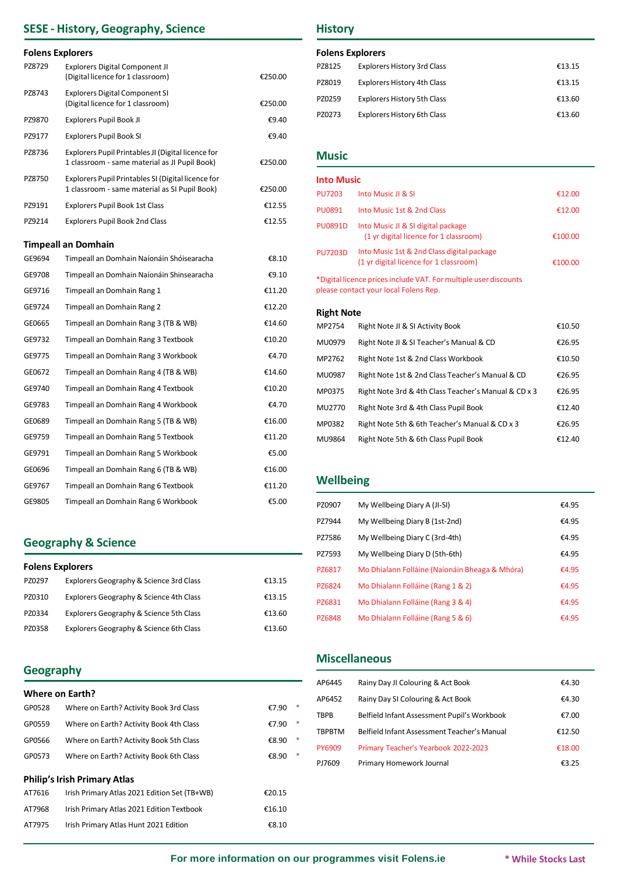## **SESE - History, Geography, Science**

#### **Folens Explorers**

| PZ8729 | <b>Explorers Digital Component JI</b><br>(Digital licence for 1 classroom)                          | €250.00 |
|--------|-----------------------------------------------------------------------------------------------------|---------|
| PZ8743 | <b>Explorers Digital Component SI</b><br>(Digital licence for 1 classroom)                          | €250.00 |
| PZ9870 | Explorers Pupil Book JI                                                                             | €9.40   |
| PZ9177 | Explorers Pupil Book SI                                                                             | €9.40   |
| PZ8736 | Explorers Pupil Printables JI (Digital licence for<br>1 classroom - same material as JI Pupil Book) | €250.00 |
| PZ8750 | Explorers Pupil Printables SI (Digital licence for<br>1 classroom - same material as SI Pupil Book) | €250.00 |
| PZ9191 | <b>Explorers Pupil Book 1st Class</b>                                                               | €12.55  |
| PZ9214 | <b>Explorers Pupil Book 2nd Class</b>                                                               | €12.55  |
|        | <b>Timpeall an Domhain</b>                                                                          |         |
| GE9694 | Timpeall an Domhain Naíonáin Shóisearacha                                                           | €8.10   |
| GE9708 | Timpeall an Domhain Naíonáin Shinsearacha                                                           | €9.10   |
| GE9716 | Timpeall an Domhain Rang 1                                                                          | €11.20  |
| GE9724 | Timpeall an Domhain Rang 2                                                                          | €12.20  |
| GE0665 | Timpeall an Domhain Rang 3 (TB & WB)                                                                | €14.60  |
| GE9732 | Timpeall an Domhain Rang 3 Textbook                                                                 | €10.20  |
| GE9775 | Timpeall an Domhain Rang 3 Workbook                                                                 | €4.70   |
| GE0672 | Timpeall an Domhain Rang 4 (TB & WB)                                                                | €14.60  |
| GE9740 | Timpeall an Domhain Rang 4 Textbook                                                                 | €10.20  |
| GE9783 | Timpeall an Domhain Rang 4 Workbook                                                                 | €4.70   |
| GE0689 | Timpeall an Domhain Rang 5 (TB & WB)                                                                | €16.00  |
| GE9759 | Timpeall an Domhain Rang 5 Textbook                                                                 | €11.20  |
| GE9791 | Timpeall an Domhain Rang 5 Workbook                                                                 | €5.00   |
| GE0696 | Timpeall an Domhain Rang 6 (TB & WB)                                                                | €16.00  |
| GE9767 | Timpeall an Domhain Rang 6 Textbook                                                                 | €11.20  |
| GE9805 | Timpeall an Domhain Rang 6 Workbook                                                                 | €5.00   |

### **Geography & Science**

#### **Folens Explorers**

| PZ0297 | Explorers Geography & Science 3rd Class | €13.15 |
|--------|-----------------------------------------|--------|
| PZ0310 | Explorers Geography & Science 4th Class | €13.15 |
| PZ0334 | Explorers Geography & Science 5th Class | €13.60 |
| PZ0358 | Explorers Geography & Science 6th Class | €13.60 |

### **Geography**

| <b>Where on Earth?</b> |  |
|------------------------|--|
|------------------------|--|

| GP0528 | Where on Earth? Activity Book 3rd Class      | €7.90  | $\ast$ |
|--------|----------------------------------------------|--------|--------|
| GP0559 | Where on Earth? Activity Book 4th Class      | €7.90  | $\ast$ |
| GP0566 | Where on Earth? Activity Book 5th Class      | €8.90  | $\ast$ |
| GP0573 | Where on Earth? Activity Book 6th Class      | €8.90  | $\ast$ |
|        |                                              |        |        |
|        | <b>Philip's Irish Primary Atlas</b>          |        |        |
| AT7616 | Irish Primary Atlas 2021 Edition Set (TB+WB) | €20.15 |        |
| AT7968 | Irish Primary Atlas 2021 Edition Textbook    | €16.10 |        |

### **History**

#### **Folens Explorers**

| PZ8125 | <b>Explorers History 3rd Class</b> | €13.15 |
|--------|------------------------------------|--------|
| PZ8019 | <b>Explorers History 4th Class</b> | €13.15 |
| PZ0259 | <b>Explorers History 5th Class</b> | €13.60 |
| PZ0273 | <b>Explorers History 6th Class</b> | €13.60 |

### **Music**

| <b>Into Music</b>                                                                                         |                                                                                      |         |  |
|-----------------------------------------------------------------------------------------------------------|--------------------------------------------------------------------------------------|---------|--|
| <b>PU7203</b>                                                                                             | Into Music II & SI                                                                   | €12.00  |  |
| <b>PU0891</b>                                                                                             | Into Music 1st & 2nd Class                                                           | €12.00  |  |
| <b>PU0891D</b>                                                                                            | Into Music JI & SI digital package<br>(1 yr digital licence for 1 classroom)         | €100.00 |  |
| <b>PU7203D</b>                                                                                            | Into Music 1st & 2nd Class digital package<br>(1 yr digital licence for 1 classroom) | €100.00 |  |
| *Digital licence prices include VAT. For multiple user discounts<br>please contact your local Folens Rep. |                                                                                      |         |  |

#### **Right Note**

| MP2754 | Right Note JI & SI Activity Book                     | €10.50 |
|--------|------------------------------------------------------|--------|
| MU0979 | Right Note JI & SI Teacher's Manual & CD             | €26.95 |
| MP2762 | Right Note 1st & 2nd Class Workbook                  | €10.50 |
| MU0987 | Right Note 1st & 2nd Class Teacher's Manual & CD     | €26.95 |
| MP0375 | Right Note 3rd & 4th Class Teacher's Manual & CD x 3 | €26.95 |
| MU2770 | Right Note 3rd & 4th Class Pupil Book                | €12.40 |
| MP0382 | Right Note 5th & 6th Teacher's Manual & CD x 3       | €26.95 |
| MU9864 | Right Note 5th & 6th Class Pupil Book                | €12.40 |

#### **Wellbeing**

| PZ0907 | My Wellbeing Diary A (JI-SI)                   | €4.95 |
|--------|------------------------------------------------|-------|
| PZ7944 | My Wellbeing Diary B (1st-2nd)                 | €4.95 |
| PZ7586 | My Wellbeing Diary C (3rd-4th)                 | €4.95 |
| PZ7593 | My Wellbeing Diary D (5th-6th)                 | €4.95 |
| PZ6817 | Mo Dhialann Folláine (Naíonáin Bheaga & Mhóra) | €4.95 |
| PZ6824 | Mo Dhialann Folláine (Rang 1 & 2)              | €4.95 |
| PZ6831 | Mo Dhialann Folláine (Rang 3 & 4)              | €4.95 |
| PZ6848 | Mo Dhialann Folláine (Rang 5 & 6)              | €4.95 |

#### **Miscellaneous**

| AP6445 | Rainy Day JI Colouring & Act Book           | €4.30  |
|--------|---------------------------------------------|--------|
| AP6452 | Rainy Day SI Colouring & Act Book           | €4.30  |
| TBPB   | Belfield Infant Assessment Pupil's Workbook | €7.00  |
| TBPBTM | Belfield Infant Assessment Teacher's Manual | €12.50 |
| PY6909 | Primary Teacher's Yearbook 2022-2023        | €18.00 |
| PJ7609 | Primary Homework Journal                    | €3.25  |